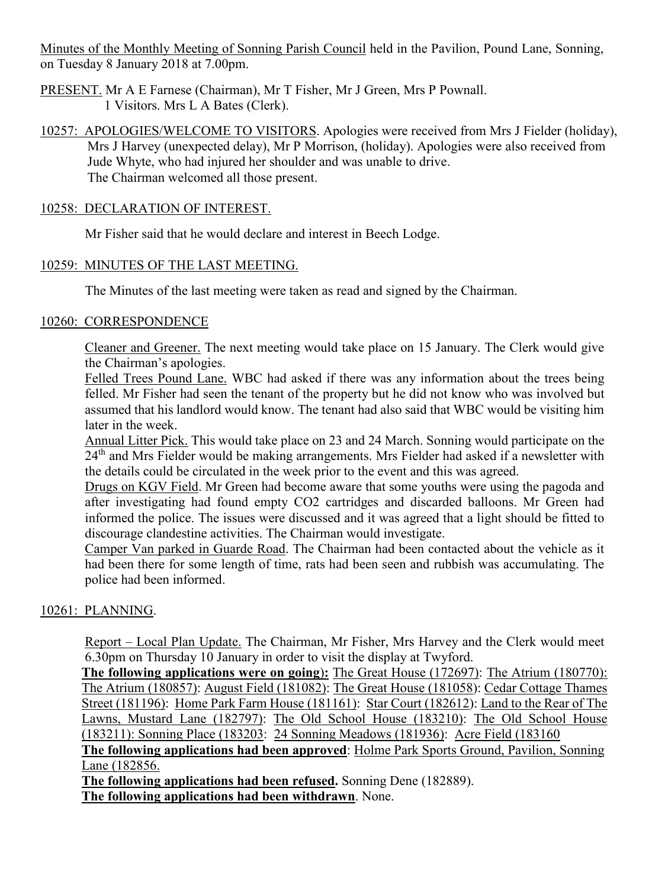Minutes of the Monthly Meeting of Sonning Parish Council held in the Pavilion, Pound Lane, Sonning, on Tuesday 8 January 2018 at 7.00pm.

- PRESENT. Mr A E Farnese (Chairman), Mr T Fisher, Mr J Green, Mrs P Pownall. 1 Visitors. Mrs L A Bates (Clerk).
- 10257: APOLOGIES/WELCOME TO VISITORS. Apologies were received from Mrs J Fielder (holiday), Mrs J Harvey (unexpected delay), Mr P Morrison, (holiday). Apologies were also received from Jude Whyte, who had injured her shoulder and was unable to drive. The Chairman welcomed all those present.

## 10258: DECLARATION OF INTEREST.

Mr Fisher said that he would declare and interest in Beech Lodge.

## 10259: MINUTES OF THE LAST MEETING.

The Minutes of the last meeting were taken as read and signed by the Chairman.

## 10260: CORRESPONDENCE

Cleaner and Greener. The next meeting would take place on 15 January. The Clerk would give the Chairman's apologies.

Felled Trees Pound Lane. WBC had asked if there was any information about the trees being felled. Mr Fisher had seen the tenant of the property but he did not know who was involved but assumed that his landlord would know. The tenant had also said that WBC would be visiting him later in the week.

Annual Litter Pick. This would take place on 23 and 24 March. Sonning would participate on the 24<sup>th</sup> and Mrs Fielder would be making arrangements. Mrs Fielder had asked if a newsletter with the details could be circulated in the week prior to the event and this was agreed.

Drugs on KGV Field. Mr Green had become aware that some youths were using the pagoda and after investigating had found empty CO2 cartridges and discarded balloons. Mr Green had informed the police. The issues were discussed and it was agreed that a light should be fitted to discourage clandestine activities. The Chairman would investigate.

Camper Van parked in Guarde Road. The Chairman had been contacted about the vehicle as it had been there for some length of time, rats had been seen and rubbish was accumulating. The police had been informed.

# 10261: PLANNING.

Report – Local Plan Update. The Chairman, Mr Fisher, Mrs Harvey and the Clerk would meet 6.30pm on Thursday 10 January in order to visit the display at Twyford.

**The following applications were on going**)**:** The Great House (172697): The Atrium (180770): The Atrium (180857): August Field (181082): The Great House (181058): Cedar Cottage Thames Street (181196): Home Park Farm House (181161): Star Court (182612): Land to the Rear of The Lawns, Mustard Lane (182797): The Old School House (183210): The Old School House (183211): Sonning Place (183203: 24 Sonning Meadows (181936): Acre Field (183160

**The following applications had been approved**: Holme Park Sports Ground, Pavilion, Sonning Lane (182856.

**The following applications had been refused.** Sonning Dene (182889).

**The following applications had been withdrawn**. None.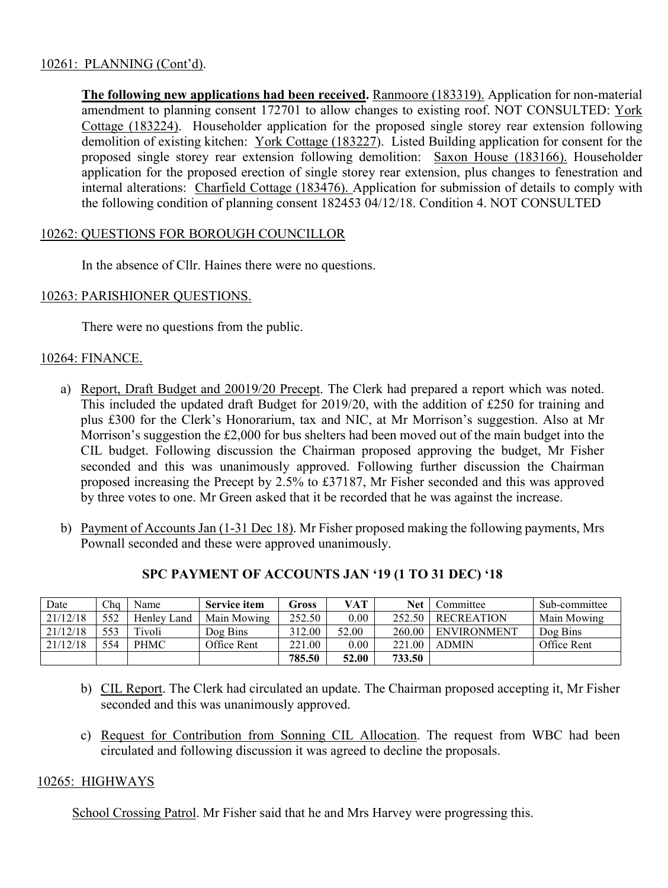## 10261: PLANNING (Cont'd).

**The following new applications had been received.** Ranmoore (183319). Application for non-material amendment to planning consent 172701 to allow changes to existing roof. NOT CONSULTED: York Cottage (183224). Householder application for the proposed single storey rear extension following demolition of existing kitchen: York Cottage (183227). Listed Building application for consent for the proposed single storey rear extension following demolition: Saxon House (183166). Householder application for the proposed erection of single storey rear extension, plus changes to fenestration and internal alterations: Charfield Cottage (183476). Application for submission of details to comply with the following condition of planning consent 182453 04/12/18. Condition 4. NOT CONSULTED

## 10262: QUESTIONS FOR BOROUGH COUNCILLOR

In the absence of Cllr. Haines there were no questions.

## 10263: PARISHIONER QUESTIONS.

There were no questions from the public.

## 10264: FINANCE.

- a) Report, Draft Budget and 20019/20 Precept. The Clerk had prepared a report which was noted. This included the updated draft Budget for 2019/20, with the addition of £250 for training and plus £300 for the Clerk's Honorarium, tax and NIC, at Mr Morrison's suggestion. Also at Mr Morrison's suggestion the £2,000 for bus shelters had been moved out of the main budget into the CIL budget. Following discussion the Chairman proposed approving the budget, Mr Fisher seconded and this was unanimously approved. Following further discussion the Chairman proposed increasing the Precept by 2.5% to £37187, Mr Fisher seconded and this was approved by three votes to one. Mr Green asked that it be recorded that he was against the increase.
- b) Payment of Accounts Jan (1-31 Dec 18). Mr Fisher proposed making the following payments, Mrs Pownall seconded and these were approved unanimously.

| Date     | Cha | Name        | <b>Service item</b> | Gross  | VAT   | Net    | Committee          | Sub-committee |
|----------|-----|-------------|---------------------|--------|-------|--------|--------------------|---------------|
| 21/12/18 | 552 | Henley Land | Main Mowing         | 252.50 | 0.00  | 252.50 | <b>RECREATION</b>  | Main Mowing   |
| 21/12/18 | 553 | Tivoli      | Dog Bins            | 312.00 | 52.00 | 260.00 | <b>ENVIRONMENT</b> | Dog Bins      |
| 21/12/18 | 554 | <b>PHMC</b> | Office Rent         | 221.00 | 0.00  | 221.00 | <b>ADMIN</b>       | Office Rent   |
|          |     |             |                     | 785.50 | 52.00 | 733.50 |                    |               |

# **SPC PAYMENT OF ACCOUNTS JAN '19 (1 TO 31 DEC) '18**

- b) CIL Report. The Clerk had circulated an update. The Chairman proposed accepting it, Mr Fisher seconded and this was unanimously approved.
- c) Request for Contribution from Sonning CIL Allocation. The request from WBC had been circulated and following discussion it was agreed to decline the proposals.

### 10265: HIGHWAYS

School Crossing Patrol. Mr Fisher said that he and Mrs Harvey were progressing this.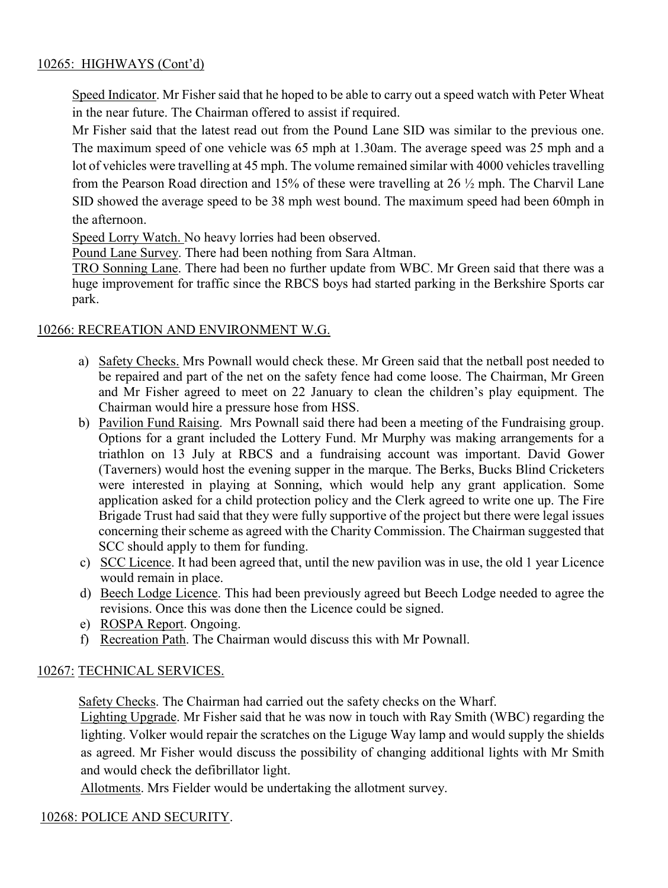# 10265: HIGHWAYS (Cont'd)

Speed Indicator. Mr Fisher said that he hoped to be able to carry out a speed watch with Peter Wheat in the near future. The Chairman offered to assist if required.

Mr Fisher said that the latest read out from the Pound Lane SID was similar to the previous one. The maximum speed of one vehicle was 65 mph at 1.30am. The average speed was 25 mph and a lot of vehicles were travelling at 45 mph. The volume remained similar with 4000 vehicles travelling from the Pearson Road direction and 15% of these were travelling at 26 ½ mph. The Charvil Lane SID showed the average speed to be 38 mph west bound. The maximum speed had been 60mph in the afternoon.

Speed Lorry Watch. No heavy lorries had been observed.

Pound Lane Survey. There had been nothing from Sara Altman.

TRO Sonning Lane. There had been no further update from WBC. Mr Green said that there was a huge improvement for traffic since the RBCS boys had started parking in the Berkshire Sports car park.

# 10266: RECREATION AND ENVIRONMENT W.G.

- a) Safety Checks. Mrs Pownall would check these. Mr Green said that the netball post needed to be repaired and part of the net on the safety fence had come loose. The Chairman, Mr Green and Mr Fisher agreed to meet on 22 January to clean the children's play equipment. The Chairman would hire a pressure hose from HSS.
- b) Pavilion Fund Raising. Mrs Pownall said there had been a meeting of the Fundraising group. Options for a grant included the Lottery Fund. Mr Murphy was making arrangements for a triathlon on 13 July at RBCS and a fundraising account was important. David Gower (Taverners) would host the evening supper in the marque. The Berks, Bucks Blind Cricketers were interested in playing at Sonning, which would help any grant application. Some application asked for a child protection policy and the Clerk agreed to write one up. The Fire Brigade Trust had said that they were fully supportive of the project but there were legal issues concerning their scheme as agreed with the Charity Commission. The Chairman suggested that SCC should apply to them for funding.
- c) SCC Licence. It had been agreed that, until the new pavilion was in use, the old 1 year Licence would remain in place.
- d) Beech Lodge Licence. This had been previously agreed but Beech Lodge needed to agree the revisions. Once this was done then the Licence could be signed.
- e) ROSPA Report. Ongoing.
- f) Recreation Path. The Chairman would discuss this with Mr Pownall.

# 10267: TECHNICAL SERVICES.

Safety Checks. The Chairman had carried out the safety checks on the Wharf.

Lighting Upgrade. Mr Fisher said that he was now in touch with Ray Smith (WBC) regarding the lighting. Volker would repair the scratches on the Liguge Way lamp and would supply the shields as agreed. Mr Fisher would discuss the possibility of changing additional lights with Mr Smith and would check the defibrillator light.

Allotments. Mrs Fielder would be undertaking the allotment survey.

# 10268: POLICE AND SECURITY.